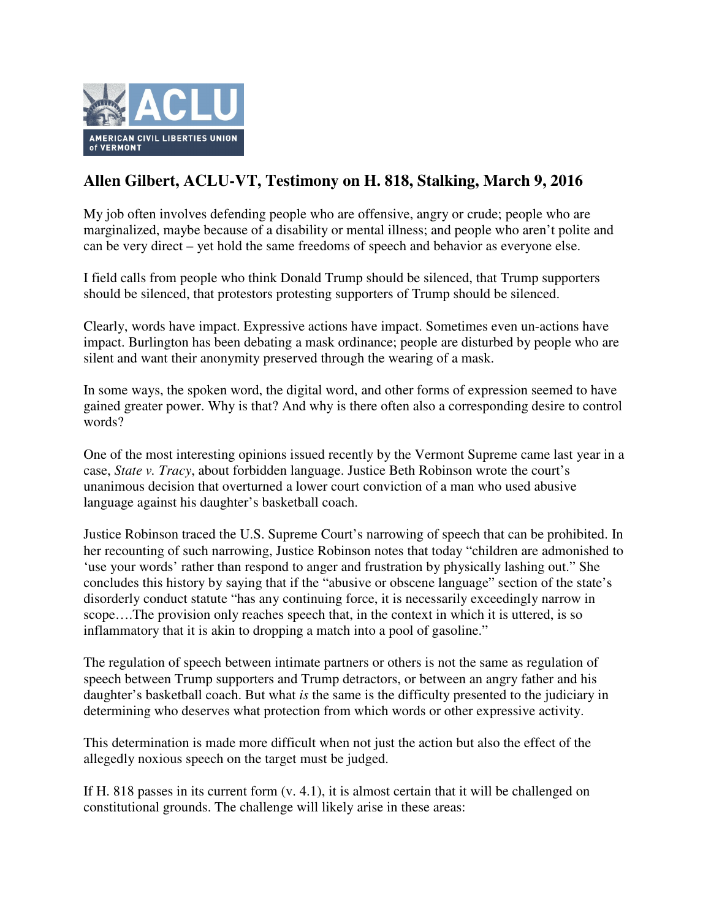

## **Allen Gilbert, ACLU-VT, Testimony on H. 818, Stalking, March 9, 2016**

My job often involves defending people who are offensive, angry or crude; people who are marginalized, maybe because of a disability or mental illness; and people who aren't polite and can be very direct – yet hold the same freedoms of speech and behavior as everyone else.

I field calls from people who think Donald Trump should be silenced, that Trump supporters should be silenced, that protestors protesting supporters of Trump should be silenced.

Clearly, words have impact. Expressive actions have impact. Sometimes even un-actions have impact. Burlington has been debating a mask ordinance; people are disturbed by people who are silent and want their anonymity preserved through the wearing of a mask.

In some ways, the spoken word, the digital word, and other forms of expression seemed to have gained greater power. Why is that? And why is there often also a corresponding desire to control words?

One of the most interesting opinions issued recently by the Vermont Supreme came last year in a case, *State v. Tracy*, about forbidden language. Justice Beth Robinson wrote the court's unanimous decision that overturned a lower court conviction of a man who used abusive language against his daughter's basketball coach.

Justice Robinson traced the U.S. Supreme Court's narrowing of speech that can be prohibited. In her recounting of such narrowing, Justice Robinson notes that today "children are admonished to 'use your words' rather than respond to anger and frustration by physically lashing out." She concludes this history by saying that if the "abusive or obscene language" section of the state's disorderly conduct statute "has any continuing force, it is necessarily exceedingly narrow in scope….The provision only reaches speech that, in the context in which it is uttered, is so inflammatory that it is akin to dropping a match into a pool of gasoline."

The regulation of speech between intimate partners or others is not the same as regulation of speech between Trump supporters and Trump detractors, or between an angry father and his daughter's basketball coach. But what *is* the same is the difficulty presented to the judiciary in determining who deserves what protection from which words or other expressive activity.

This determination is made more difficult when not just the action but also the effect of the allegedly noxious speech on the target must be judged.

If H. 818 passes in its current form  $(v, 4.1)$ , it is almost certain that it will be challenged on constitutional grounds. The challenge will likely arise in these areas: